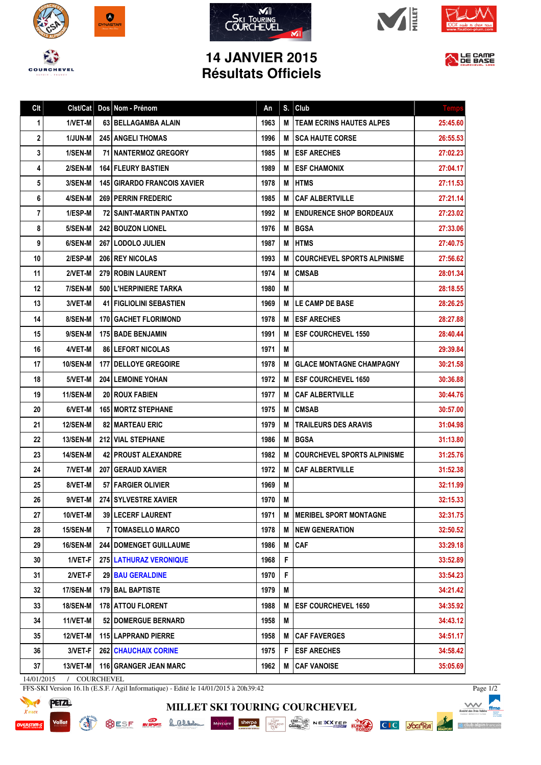









## **14 JANVIER 2015 Résultats Officiels**



| Clt          | Clst/Cat        | Dos Nom - Prénom                   | An   | S. | Club                               | Temp     |
|--------------|-----------------|------------------------------------|------|----|------------------------------------|----------|
| 1            | 1/VET-M         | 63 BELLAGAMBA ALAIN                | 1963 | М  | <b>TEAM ECRINS HAUTES ALPES</b>    | 25:45.60 |
| $\mathbf{2}$ | 1/JUN-M         | 245 ANGELI THOMAS                  | 1996 | М  | <b>SCA HAUTE CORSE</b>             | 26:55.53 |
| 3            | 1/SEN-M         | <b>71 INANTERMOZ GREGORY</b>       | 1985 | M  | <b>IESF ARECHES</b>                | 27:02.23 |
| 4            | 2/SEN-M         | <b>164 FLEURY BASTIEN</b>          | 1989 | М  | <b>ESF CHAMONIX</b>                | 27:04.17 |
| 5            | 3/SEN-M         | <b>145 GIRARDO FRANCOIS XAVIER</b> | 1978 | Μ  | <b>HTMS</b>                        | 27:11.53 |
| 6            | 4/SEN-M         | <b>269 PERRIN FREDERIC</b>         | 1985 | М  | <b>CAF ALBERTVILLE</b>             | 27:21.14 |
| 7            | 1/ESP-M         | 72   SAINT-MARTIN PANTXO           | 1992 | М  | <b>ENDURENCE SHOP BORDEAUX</b>     | 27:23.02 |
| 8            | 5/SEN-M         | <b>242 BOUZON LIONEL</b>           | 1976 | M  | <b>BGSA</b>                        | 27:33.06 |
| 9            | 6/SEN-M         | <b>267 I LODOLO JULIEN</b>         | 1987 | М  | <b>HTMS</b>                        | 27:40.75 |
| 10           | 2/ESP-M         | 206 REY NICOLAS                    | 1993 | М  | <b>COURCHEVEL SPORTS ALPINISME</b> | 27:56.62 |
| 11           | 2/VET-M         | <b>279 ROBIN LAURENT</b>           | 1974 | М  | <b>CMSAB</b>                       | 28:01.34 |
| 12           | 7/SEN-M         | 500 L'HERPINIERE TARKA             | 1980 | М  |                                    | 28:18.55 |
| 13           | 3/VET-M         | <b>41   FIGLIOLINI SEBASTIEN</b>   | 1969 | М  | LE CAMP DE BASE                    | 28:26.25 |
| 14           | 8/SEN-M         | 170 GACHET FLORIMOND               | 1978 | М  | <b>ESF ARECHES</b>                 | 28:27.88 |
| 15           | 9/SEN-M         | 175 BADE BENJAMIN                  | 1991 | М  | <b>ESF COURCHEVEL 1550</b>         | 28:40.44 |
| 16           | 4/VET-M         | <b>86   LEFORT NICOLAS</b>         | 1971 | Μ  |                                    | 29:39.84 |
| 17           | <b>10/SEN-M</b> | <b>177   DELLOYE GREGOIRE</b>      | 1978 | М  | <b>GLACE MONTAGNE CHAMPAGNY</b>    | 30:21.58 |
| 18           | 5/VET-M         | <b>204 LEMOINE YOHAN</b>           | 1972 | М  | <b>ESF COURCHEVEL 1650</b>         | 30:36.88 |
| 19           | 11/SEN-M        | <b>20 ROUX FABIEN</b>              | 1977 | M  | <b>CAF ALBERTVILLE</b>             | 30:44.76 |
| 20           | 6/VET-M         | <b>165 I MORTZ STEPHANE</b>        | 1975 | М  | <b>CMSAB</b>                       | 30:57.00 |
| 21           | <b>12/SEN-M</b> | <b>82 MARTEAU ERIC</b>             | 1979 | М  | <b>TRAILEURS DES ARAVIS</b>        | 31:04.98 |
| 22           | <b>13/SEN-M</b> | <b>212 VIAL STEPHANE</b>           | 1986 | М  | <b>BGSA</b>                        | 31:13.80 |
| 23           | <b>14/SEN-M</b> | <b>42 PROUST ALEXANDRE</b>         | 1982 | М  | <b>COURCHEVEL SPORTS ALPINISME</b> | 31:25.76 |
| 24           | 7/VET-M         | 207 GERAUD XAVIER                  | 1972 | M  | <b>CAF ALBERTVILLE</b>             | 31:52.38 |
| 25           | 8/VET-M         | 57 FARGIER OLIVIER                 | 1969 | М  |                                    | 32:11.99 |
| 26           | 9/VET-MI        | <b>274 SYLVESTRE XAVIER</b>        | 1970 | M  |                                    | 32:15.33 |
| 27           | 10/VET-M        | <b>39 LECERF LAURENT</b>           | 1971 | М  | I MERIBEL SPORT MONTAGNE           | 32:31.75 |
| 28           | 15/SEN-M        | <b>7   TOMASELLO MARCO</b>         | 1978 | M  | <b>NEW GENERATION</b>              | 32:50.52 |
| 29           | <b>16/SEN-M</b> | <b>244 DOMENGET GUILLAUME</b>      | 1986 | Μ  | <b>CAF</b>                         | 33:29.18 |
| 30           | 1/VET-F         | <b>275 LATHURAZ VERONIQUE</b>      | 1968 | F  |                                    | 33:52.89 |
| 31           | 2/VET-F         | <b>29 BAU GERALDINE</b>            | 1970 | F  |                                    | 33:54.23 |
| 32           | <b>17/SEN-M</b> | 179 BAL BAPTISTE                   | 1979 | Μ  |                                    | 34:21.42 |
| 33           | <b>18/SEN-M</b> | 178 ATTOU FLORENT                  | 1988 | Μ  | <b>ESF COURCHEVEL 1650</b>         | 34:35.92 |
| 34           | 11/VET-M        | <b>52   DOMERGUE BERNARD</b>       | 1958 | Μ  |                                    | 34:43.12 |
| 35           | 12/VET-M        | 115 LAPPRAND PIERRE                | 1958 | М  | <b>CAF FAVERGES</b>                | 34:51.17 |
| 36           | 3/VET-F         | <b>262   CHAUCHAIX CORINE</b>      | 1975 | F. | <b>ESF ARECHES</b>                 | 34:58.42 |
| 37           | 13/VET-M        | 116 GRANGER JEAN MARC              | 1962 | Μ  | <b>CAF VANOISE</b>                 | 35:05.69 |
|              |                 |                                    |      |    |                                    |          |

**MILLET SKI TOURING COURCHEVEL**

14/01/2015 / COURCHEVEL

EN

FFS-SKI Version 16.1h (E.S.F. / Agil Informatique) - Edité le 14/01/2015 à 20h39:42